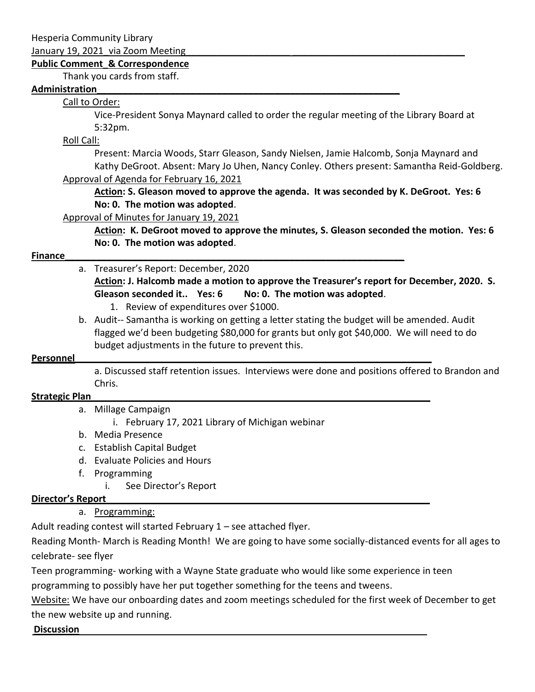Hesperia Community Library

January 19, 2021 via Zoom Meeting

#### **Public Comment\_& Correspondence**

Thank you cards from staff.

#### **Administration\_\_\_\_\_\_\_\_\_\_\_\_\_\_\_\_\_\_\_\_\_\_\_\_\_\_\_\_\_\_\_\_\_\_\_\_\_\_\_\_\_\_\_\_\_\_\_\_\_\_\_\_\_\_\_\_\_\_**

## Call to Order:

Vice-President Sonya Maynard called to order the regular meeting of the Library Board at 5:32pm.

Roll Call:

Present: Marcia Woods, Starr Gleason, Sandy Nielsen, Jamie Halcomb, Sonja Maynard and Kathy DeGroot. Absent: Mary Jo Uhen, Nancy Conley. Others present: Samantha Reid-Goldberg. Approval of Agenda for February 16, 2021

**Action: S. Gleason moved to approve the agenda. It was seconded by K. DeGroot. Yes: 6 No: 0. The motion was adopted**.

Approval of Minutes for January 19, 2021

**Action: K. DeGroot moved to approve the minutes, S. Gleason seconded the motion. Yes: 6 No: 0. The motion was adopted**.

## **Finance Example 20 and 20 and 20 and 20 and 20 and 20 and 20 and 20 and 20 and 20 and 20 and 20 and 20 and 20 and 20 and 20 and 20 and 20 and 20 and 20 and 20 and 20 and 20 and 20 and 20 and 20 and 20 and 20 and 20 and**

# a. Treasurer's Report: December, 2020 **Action: J. Halcomb made a motion to approve the Treasurer's report for December, 2020. S.**

**Gleason seconded it.. Yes: 6 No: 0. The motion was adopted**.

- 1. Review of expenditures over \$1000.
- b. Audit-- Samantha is working on getting a letter stating the budget will be amended. Audit flagged we'd been budgeting \$80,000 for grants but only got \$40,000. We will need to do budget adjustments in the future to prevent this.

#### **Personnel**

a. Discussed staff retention issues. Interviews were done and positions offered to Brandon and Chris.

#### **Strategic Plan\_\_\_\_\_\_\_\_\_\_\_\_\_\_\_\_\_\_\_\_\_\_\_\_\_\_\_\_\_\_\_\_\_\_\_\_\_\_\_\_\_\_\_\_\_\_\_\_\_\_\_\_\_\_\_\_\_\_\_\_\_\_\_\_\_**

- a. Millage Campaign
	- i. February 17, 2021 Library of Michigan webinar
- b. Media Presence
- c. Establish Capital Budget
- d. Evaluate Policies and Hours
- f. Programming
	- i. See Director's Report

## **Director's Report\_\_\_\_\_\_\_\_\_\_\_\_\_\_\_\_\_\_\_\_\_\_\_\_\_\_\_\_\_\_\_\_\_\_\_\_\_\_\_\_\_\_\_\_\_\_\_\_\_\_\_\_\_\_\_\_\_\_\_\_\_\_**

## a. Programming:

Adult reading contest will started February  $1$  – see attached flyer.

Reading Month- March is Reading Month! We are going to have some socially-distanced events for all ages to celebrate- see flyer

Teen programming- working with a Wayne State graduate who would like some experience in teen programming to possibly have her put together something for the teens and tweens.

Website: We have our onboarding dates and zoom meetings scheduled for the first week of December to get the new website up and running.

**Discussion**